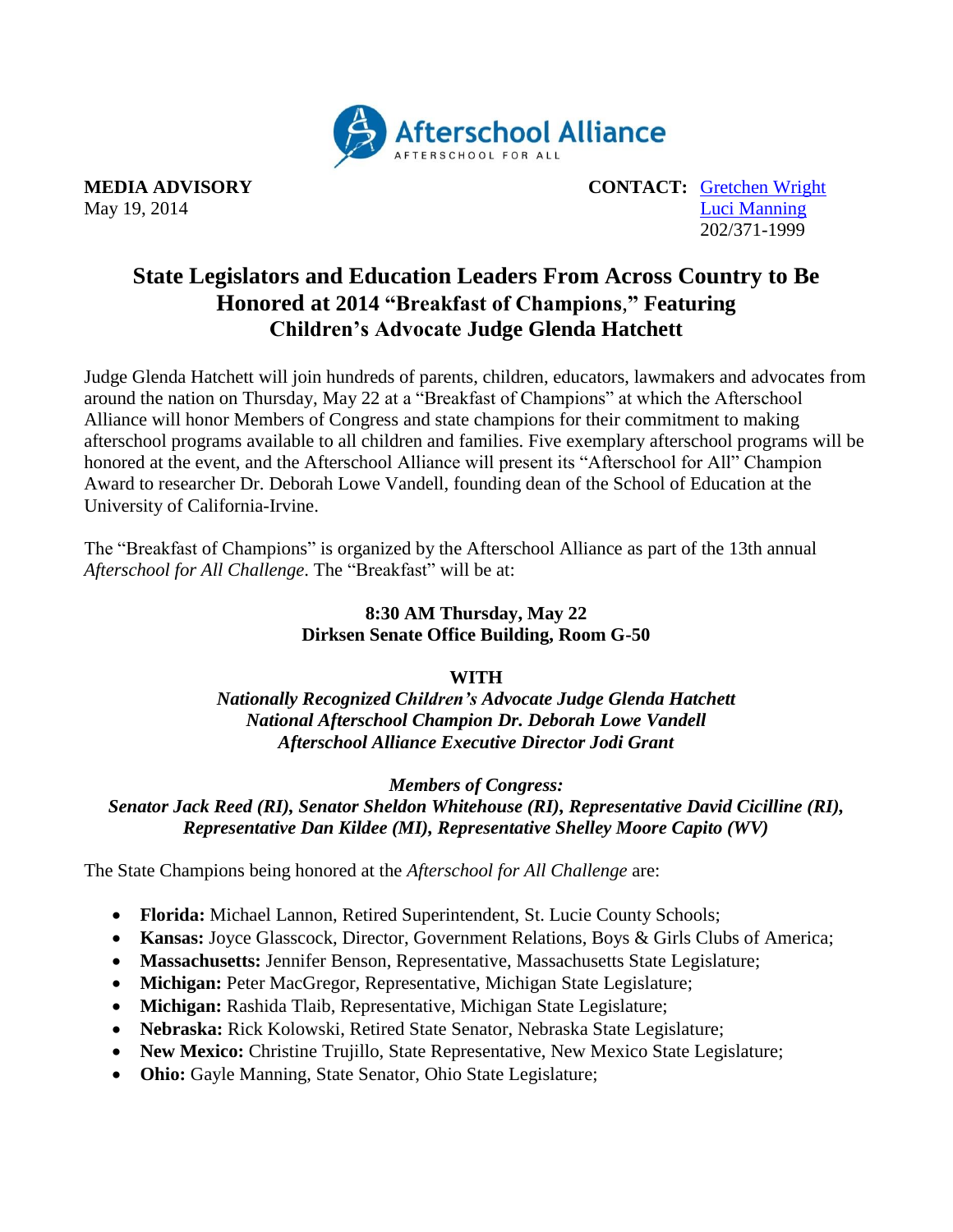

**MEDIA ADVISORY CONTACT:** [Gretchen Wright](mailto:gretchen@prsolutionsdc.com) May 19, 2014 [Luci Manning](mailto:luci@prsolutionsdc.com) 202/371-1999

## **State Legislators and Education Leaders From Across Country to Be Honored at 2014 "Breakfast of Champions**,**" Featuring Children's Advocate Judge Glenda Hatchett**

Judge Glenda Hatchett will join hundreds of parents, children, educators, lawmakers and advocates from around the nation on Thursday, May 22 at a "Breakfast of Champions" at which the Afterschool Alliance will honor Members of Congress and state champions for their commitment to making afterschool programs available to all children and families. Five exemplary afterschool programs will be honored at the event, and the Afterschool Alliance will present its "Afterschool for All" Champion Award to researcher Dr. Deborah Lowe Vandell, founding dean of the School of Education at the University of California-Irvine.

The "Breakfast of Champions" is organized by the Afterschool Alliance as part of the 13th annual *Afterschool for All Challenge*. The "Breakfast" will be at:

## **8:30 AM Thursday, May 22 Dirksen Senate Office Building, Room G-50**

## **WITH**

*Nationally Recognized Children's Advocate Judge Glenda Hatchett National Afterschool Champion Dr. Deborah Lowe Vandell Afterschool Alliance Executive Director Jodi Grant*

*Members of Congress:* 

*Senator Jack Reed (RI), Senator Sheldon Whitehouse (RI), Representative David Cicilline (RI), Representative Dan Kildee (MI), Representative Shelley Moore Capito (WV)*

The State Champions being honored at the *Afterschool for All Challenge* are:

- **Florida:** Michael Lannon, Retired Superintendent, St. Lucie County Schools;
- **Kansas:** Joyce Glasscock, Director, Government Relations, Boys & Girls Clubs of America;
- **Massachusetts:** Jennifer Benson, Representative, Massachusetts State Legislature;
- **Michigan:** Peter MacGregor, Representative, Michigan State Legislature;
- **Michigan:** Rashida Tlaib, Representative, Michigan State Legislature;
- **Nebraska:** Rick Kolowski, Retired State Senator, Nebraska State Legislature;
- **New Mexico:** Christine Trujillo, State Representative, New Mexico State Legislature;
- **Ohio:** Gayle Manning, State Senator, Ohio State Legislature;